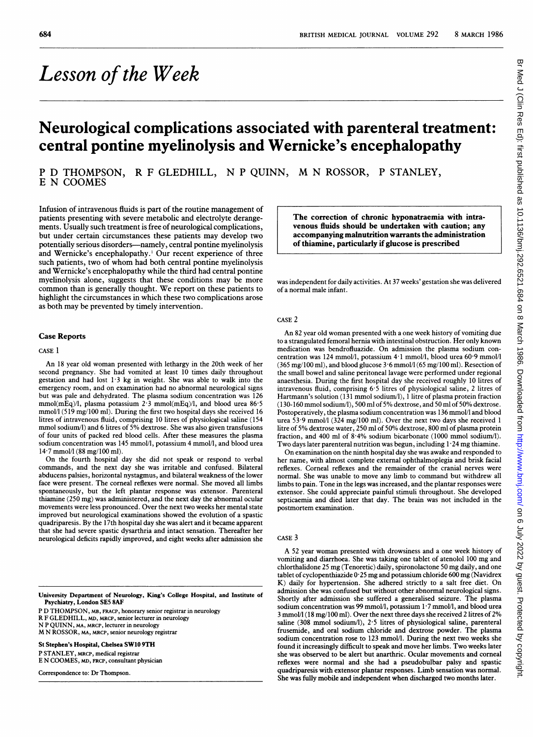# Lesson of the Week

## Neurological complications associated with parenteral treatment: central pontine myelinolysis and Wernicke's encephalopathy

P D THOMPSON, R F GLEDHILL, N P QUINN, M N ROSSOR, P STANLEY, E N COOMES

Infusion of intravenous fluids is part of the routine management of patients presenting with severe metabolic and electrolyte derangements. Usually such treatment is free of neurological complications, but under certain circumstances these patients may develop two potentially serious disorders-namely, central pontine myelinolysis and Wernicke's encephalopathy.' Our recent experience of three such patients, two of whom had both central pontine myelinolysis and Wernicke's encephalopathy while the third had central pontine myelinolysis alone, suggests that these conditions may be more common than is generally thought. We report on these patients to highlight the circumstances in which these two complications arose as both may be prevented by timely intervention.

#### Case Reports

#### CASE <sup>1</sup>

An <sup>18</sup> year old woman presented with lethargy in the 20th week of her second pregnancy. She had vomited at least 10 times daily throughout gestation and had lost 1-3 kg in weight. She was able to walk into the emergency room, and on examination had no abnormal neurological signs but was pale and dehydrated. The plasma sodium concentration was 126 mmol(mEq)/l, plasma potassium 2 3 mmol(mEq)/l, and blood urea 86.5 mmol/l (519 mg/100 ml). During the first two hospital days she received 16 litres of intravenous fluid, comprising 10 litres of physiological saline (154 mmol sodium/l) and 6 litres of 5% dextrose. She was also given transfusions of four units of packed red blood cells. After these measures the plasma sodium concentration was 145 mmol/l, potassium 4 mmol/l, and blood urea 14-7 mmol/l (88 mg/100 ml).

On the fourth hospital day she did not speak or respond to verbal commands, and the next day she was irritable and confused. Bilateral abducens palsies, horizontal nystagmus, and bilateral weakness of the lower face were present. The corneal reflexes were normal. She moved all limbs spontaneously, but the left plantar response was extensor. Parenteral thiamine (250 mg) was administered, and the next day the abnormal ocular movements were less pronounced. Over the next two weeks her mental state improved but neurological examinations showed the evolution of a spastic quadriparesis. By the 17th hospital day she was alert and it became apparent that she had severe spastic dysarthria and intact sensation. Thereafter her neurological deficits rapidly improved, and eight weeks after admission she

University Department of Neurology, King's College Hospital, and Institute of Psychiatry, London SE5 8AF

P D THOMPSON, MB, FRACP, honorary senior registrar in neurology

R F GLEDHILL, MD, MRCP, senior lecturer in neurology

N P QUINN, MA, MRCP, lecturer in neurology M N ROSSOR, MA, MRCP, senior neurology registrar

St Stephen's Hospital, Chelsea SW10 9TH P STANLEY, MRCP, medical registrar

E N COOMES, MD, FRcp, consultant physician

Correspondence to: Dr Thompson.

The correction of chronic hyponatraemia with intravenous fluids should be undertaken with caution; any accompanying malnutrition warrants the administration of thiamine, particularly if glucose is prescribed

was independent for daily activities. At 37 weeks' gestation she was delivered of a normal male infant.

#### CASE 2

An 82 year old woman presented with <sup>a</sup> one week history of vomiting due to a strangulated femoral hernia with intestinal obstruction. Her only known medication was bendrofluazide. On admission the plasma sodium concentration was 124 mmol/l, potassium 4 <sup>1</sup> mmol/l, blood urea 60-9 mmol/l (365 mg/100 ml), and blood glucose  $3.6$  mmol/l (65 mg/100 ml). Resection of the small bowel and saline peritoneal lavage were performed under regional anaesthesia. During the first hospital day she received roughly 10 litres of intravenous fluid, comprising 6 5 litres of physiological saline, 2 litres of Hartmann's solution (131 mmol sodium/l), <sup>I</sup> litre of plasma protein fraction (130-160 mmol sodium/1), 500 ml of 5% dextrose, and 50 ml of 50% dextrose. Postoperatively, the plasma sodium concentration was 136 mmol/l and blood urea 53-9 mmol/l (324 mg/100 ml). Over the next two days she received <sup>1</sup> litre of 5% dextrose water, 250 ml of 50% dextrose, 800 ml of plasma protein fraction, and 400 ml of 8-4% sodium bicarbonate (1000 mmol sodium/l). Two days later parenteral nutrition was begun, including  $1.24$  mg thiamine.

On examination on the ninth hospital day she was awake and responded to her name, with almost complete external ophthalmoplegia and brisk facial reflexes. Corneal reflexes and the remainder of the cranial nerves were normal. She was unable to move any limb to command but withdrew all limbs to pain. Tone in the legs was increased, and the plantar responses were extensor. She could appreciate painful stimuli throughout. She developed septicaemia and died later that day. The brain was not included in the postmortem examination.

#### CASE 3

A <sup>52</sup> year woman presented with drowsiness and <sup>a</sup> one week history of vomiting and diarrhoea. She was taking one tablet of atenolol <sup>100</sup> mg and chlorthalidone <sup>25</sup> mg (Tenoretic) daily, spironolactone 50 mg daily, and one tablet of cyclopenthiazide 0 <sup>25</sup> mg and potassium chloride 600 mg (Navidrex K) daily for hypertension. She adhered strictly to <sup>a</sup> salt free diet. On admission she was confused but without other abnormal neurological signs. Shortly after admission she suffered a generalised seizure. The plasma sodium concentration was 99 mmol/l, potassium 1.7 mmol/l, and blood urea <sup>3</sup> mmol/l (18 mg/100 ml). Over the next three days she received <sup>2</sup> litres of 2% saline (308 mmol sodium/l), 2.5 litres of physiological saline, parenteral frusemide, and oral sodium chloride and dextrose powder. The plasma sodium concentration rose to 123 mmol/l. During the next two weeks she found it increasingly difficult to speak and move her limbs. Two weeks later she was observed to be alert but anarthric. Ocular movements and corneal reflexes were normal and she had a pseudobulbar palsy and spastic quadriparesis with extensor plantar responses. Limb sensation was normal. She was fully mobile and independent when discharged two months later.